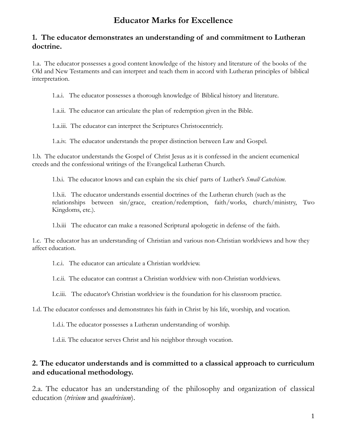## **Educator Marks for Excellence**

## **1. The educator demonstrates an understanding of and commitment to Lutheran doctrine.**

1.a. The educator possesses a good content knowledge of the history and literature of the books of the Old and New Testaments and can interpret and teach them in accord with Lutheran principles of biblical interpretation.

1.a.i. The educator possesses a thorough knowledge of Biblical history and literature.

1.a.ii. The educator can articulate the plan of redemption given in the Bible.

1.a.iii. The educator can interpret the Scriptures Christocentricly.

1.a.iv. The educator understands the proper distinction between Law and Gospel.

1.b. The educator understands the Gospel of Christ Jesus as it is confessed in the ancient ecumenical creeds and the confessional writings of the Evangelical Lutheran Church.

1.b.i. The educator knows and can explain the six chief parts of Luther's *Small Catechism*.

1.b.ii. The educator understands essential doctrines of the Lutheran church (such as the relationships between sin/grace, creation/redemption, faith/works, church/ministry, Two Kingdoms, etc.).

1.b.iii The educator can make a reasoned Scriptural apologetic in defense of the faith.

1.c. The educator has an understanding of Christian and various non-Christian worldviews and how they affect education.

1.c.i. The educator can articulate a Christian worldview.

1.c.ii. The educator can contrast a Christian worldview with non-Christian worldviews.

I.c.iii. The educator's Christian worldview is the foundation for his classroom practice.

1.d. The educator confesses and demonstrates his faith in Christ by his life, worship, and vocation.

1.d.i. The educator possesses a Lutheran understanding of worship.

1.d.ii. The educator serves Christ and his neighbor through vocation.

## **2. The educator understands and is committed to a classical approach to curriculum and educational methodology.**

2.a. The educator has an understanding of the philosophy and organization of classical education (*trivium* and *quadrivium*).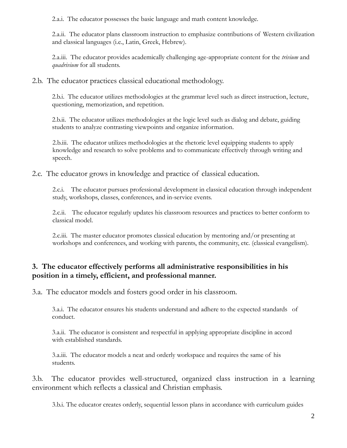2.a.i. The educator possesses the basic language and math content knowledge.

2.a.ii. The educator plans classroom instruction to emphasize contributions of Western civilization and classical languages (i.e., Latin, Greek, Hebrew).

2.a.iii. The educator provides academically challenging age-appropriate content for the *trivium* and *quadrivium* for all students.

2.b. The educator practices classical educational methodology.

2.b.i. The educator utilizes methodologies at the grammar level such as direct instruction, lecture, questioning, memorization, and repetition.

2.b.ii. The educator utilizes methodologies at the logic level such as dialog and debate, guiding students to analyze contrasting viewpoints and organize information.

2.b.iii. The educator utilizes methodologies at the rhetoric level equipping students to apply knowledge and research to solve problems and to communicate effectively through writing and speech.

2.c. The educator grows in knowledge and practice of classical education.

2.c.i. The educator pursues professional development in classical education through independent study, workshops, classes, conferences, and in-service events.

2.c.ii. The educator regularly updates his classroom resources and practices to better conform to classical model.

2.c.iii. The master educator promotes classical education by mentoring and/or presenting at workshops and conferences, and working with parents, the community, etc. (classical evangelism).

## **3. The educator effectively performs all administrative responsibilities in his position in a timely, efficient, and professional manner.**

3.a. The educator models and fosters good order in his classroom.

3.a.i. The educator ensures his students understand and adhere to the expected standards of conduct.

3.a.ii. The educator is consistent and respectful in applying appropriate discipline in accord with established standards.

3.a.iii. The educator models a neat and orderly workspace and requires the same of his students.

3.b. The educator provides well-structured, organized class instruction in a learning environment which reflects a classical and Christian emphasis.

3.b.i. The educator creates orderly, sequential lesson plans in accordance with curriculum guides